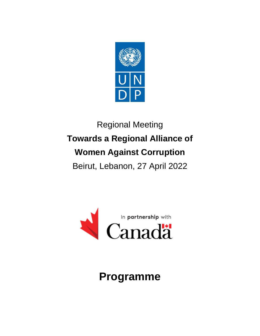

## Regional Meeting **Towards a Regional Alliance of Women Against Corruption**  Beirut, Lebanon, 27 April 2022



## **Programme**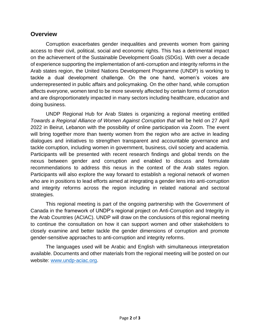## **Overview**

Corruption exacerbates gender inequalities and prevents women from gaining access to their civil, political, social and economic rights. This has a detrimental impact on the achievement of the Sustainable Development Goals (SDGs). With over a decade of experience supporting the implementation of anti-corruption and integrity reforms in the Arab states region, the United Nations Development Programme (UNDP) is working to tackle a dual development challenge. On the one hand, women's voices are underrepresented in public affairs and policymaking. On the other hand, while corruption affects everyone, women tend to be more severely affected by certain forms of corruption and are disproportionately impacted in many sectors including healthcare, education and doing business.

UNDP Regional Hub for Arab States is organizing a regional meeting entitled *Towards a Regional Alliance of Women Against Corruption that* will be held on 27 April 2022 in Beirut, Lebanon with the possibility of online participation via Zoom. The event will bring together more than twenty women from the region who are active in leading dialogues and initiatives to strengthen transparent and accountable governance and tackle corruption, including women in government, business, civil society and academia. Participants will be presented with recent research findings and global trends on the nexus between gender and corruption and enabled to discuss and formulate recommendations to address this nexus in the context of the Arab states region. Participants will also explore the way forward to establish a regional network of women who are in positions to lead efforts aimed at integrating a gender lens into anti-corruption and integrity reforms across the region including in related national and sectoral strategies.

This regional meeting is part of the ongoing partnership with the Government of Canada in the framework of UNDP's regional project on Anti-Corruption and Integrity in the Arab Countries (ACIAC). UNDP will draw on the conclusions of this regional meeting to continue the consultation on how it can support women and other stakeholders to closely examine and better tackle the gender dimensions of corruption and promote gender-sensitive approaches to anti-corruption and integrity reforms.

The languages used will be Arabic and English with simultaneous interpretation available. Documents and other materials from the regional meeting will be posted on our website: [www.undp-aciac.org.](http://www.undp-aciac.org/)